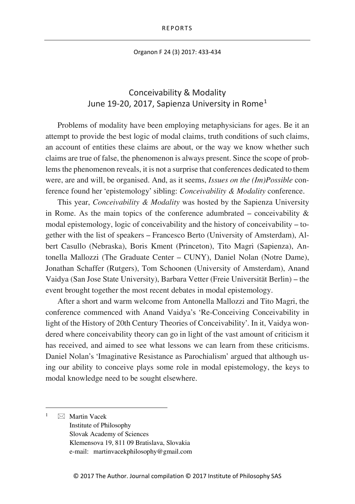Organon F 24 (3) 2017: 433-434

## Conceivability & Modality June [1](#page-0-0)9-20, 2017, Sapienza University in Rome<sup>1</sup>

Problems of modality have been employing metaphysicians for ages. Be it an attempt to provide the best logic of modal claims, truth conditions of such claims, an account of entities these claims are about, or the way we know whether such claims are true of false, the phenomenon is always present. Since the scope of problems the phenomenon reveals, it is not a surprise that conferences dedicated to them were, are and will, be organised. And, as it seems, *Issues on the (Im)Possible* conference found her 'epistemology' sibling: *Conceivability & Modality* conference.

This year, *Conceivability & Modality* was hosted by the Sapienza University in Rome. As the main topics of the conference adumbrated – conceivability  $\&$ modal epistemology, logic of conceivability and the history of conceivability – together with the list of speakers – Francesco Berto (University of Amsterdam), Albert Casullo (Nebraska), Boris Kment (Princeton), Tito Magri (Sapienza), Antonella Mallozzi (The Graduate Center – CUNY), Daniel Nolan (Notre Dame), Jonathan Schaffer (Rutgers), Tom Schoonen (University of Amsterdam), Anand Vaidya (San Jose State University), Barbara Vetter (Freie Universität Berlin) – the event brought together the most recent debates in modal epistemology.

After a short and warm welcome from Antonella Mallozzi and Tito Magri, the conference commenced with Anand Vaidya's 'Re-Conceiving Conceivability in light of the History of 20th Century Theories of Conceivability'. In it, Vaidya wondered where conceivability theory can go in light of the vast amount of criticism it has received, and aimed to see what lessons we can learn from these criticisms. Daniel Nolan's 'Imaginative Resistance as Parochialism' argued that although using our ability to conceive plays some role in modal epistemology, the keys to modal knowledge need to be sought elsewhere.

<span id="page-0-0"></span> $\boxtimes$  Martin Vacek Institute of Philosophy Slovak Academy of Sciences Klemensova 19, 811 09 Bratislava, Slovakia e-mail: martinvacekphilosophy@gmail.com